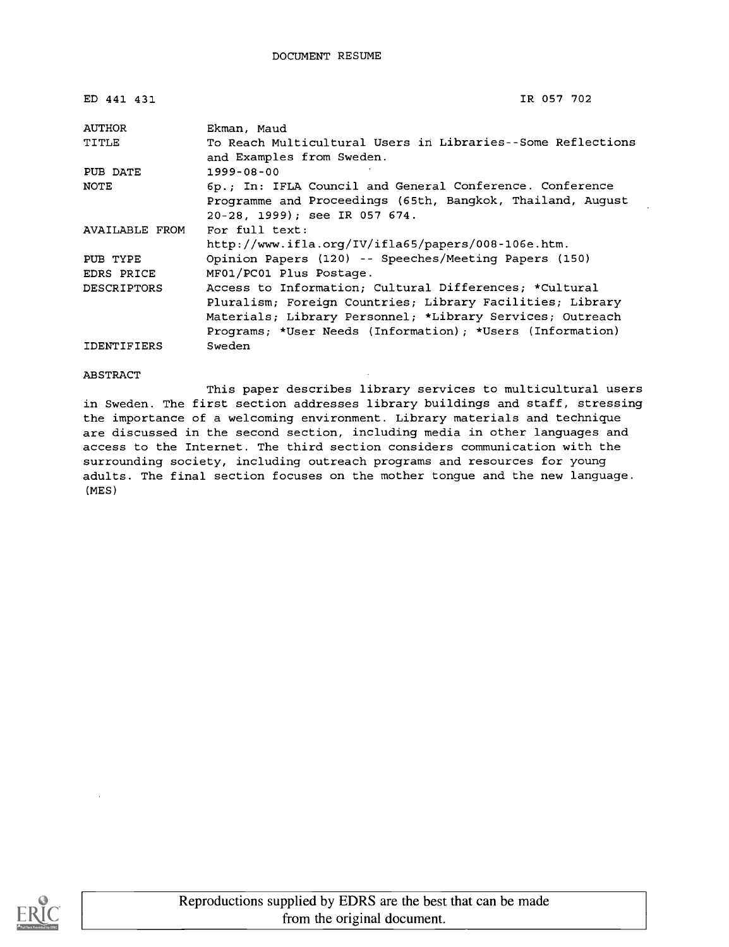| ED 441 431         | IR 057 702                                                                               |
|--------------------|------------------------------------------------------------------------------------------|
| AUTHOR             | Ekman, Maud                                                                              |
| TITLE              | To Reach Multicultural Users in Libraries--Some Reflections<br>and Examples from Sweden. |
| PUB DATE           | $1999 - 08 - 00$                                                                         |
| NOTE               | 6p.; In: IFLA Council and General Conference. Conference                                 |
|                    | Programme and Proceedings (65th, Bangkok, Thailand, August                               |
|                    | 20-28, 1999); see IR 057 674.                                                            |
| AVAILABLE FROM     | For full text:                                                                           |
|                    | http://www.ifla.org/IV/ifla65/papers/008-106e.htm.                                       |
| PUB TYPE           | Opinion Papers (120) -- Speeches/Meeting Papers (150)                                    |
| EDRS PRICE         | MF01/PC01 Plus Postage.                                                                  |
| DESCRIPTORS        | Access to Information; Cultural Differences; *Cultural                                   |
|                    | Pluralism; Foreign Countries; Library Facilities; Library                                |
|                    | Materials; Library Personnel; *Library Services; Outreach                                |
|                    | Programs; *User Needs (Information); *Users (Information)                                |
| <b>IDENTIFIERS</b> | Sweden                                                                                   |

#### ABSTRACT

This paper describes library services to multicultural users in Sweden. The first section addresses library buildings and staff, stressing the importance of a welcoming environment. Library materials and technique are discussed in the second section, including media in other languages and access to the Internet. The third section considers communication with the surrounding society, including outreach programs and resources for young adults. The final section focuses on the mother tongue and the new language. (MES)

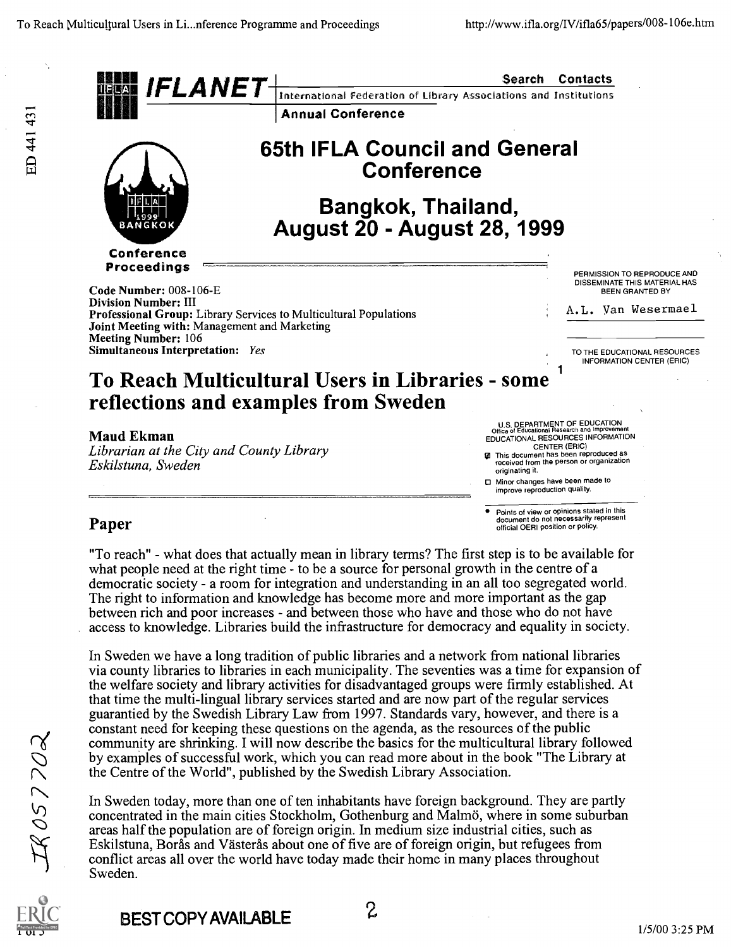

"To reach" - what does that actually mean in library terms? The first step is to be available for what people need at the right time - to be a source for personal growth in the centre of a democratic society - a room for integration and understanding in an all too segregated world. The right to information and knowledge has become more and more important as the gap between rich and poor increases - and between those who have and those who do not have access to knowledge. Libraries build the infrastructure for democracy and equality in society.

In Sweden we have a long tradition of public libraries and a network from national libraries via county libraries to libraries in each municipality. The seventies was a time for expansion of the welfare society and library activities for disadvantaged groups were firmly established. At that time the multi-lingual library services started and are now part of the regular services guarantied by the Swedish Library Law from 1997. Standards vary, however, and there is a constant need for keeping these questions on the agenda, as the resources of the public community are shrinking. I will now describe the basics for the multicultural library followed by examples of successful work, which you can read more about in the book "The Library at the Centre of the World", published by the Swedish Library Association.

In Sweden today, more than one of ten inhabitants have foreign background. They are partly concentrated in the main cities Stockholm, Gothenburg and Malmö, where in some suburban areas half the population are of foreign origin. In medium size industrial cities, such as Eskilstuna, Borås and Västerås about one of five are of foreign origin, but refugees from conflict areas all over the world have today made their home in many places throughout Sweden.



 $18057702$ 

ED 441 431

BEST COPY AVAILABLE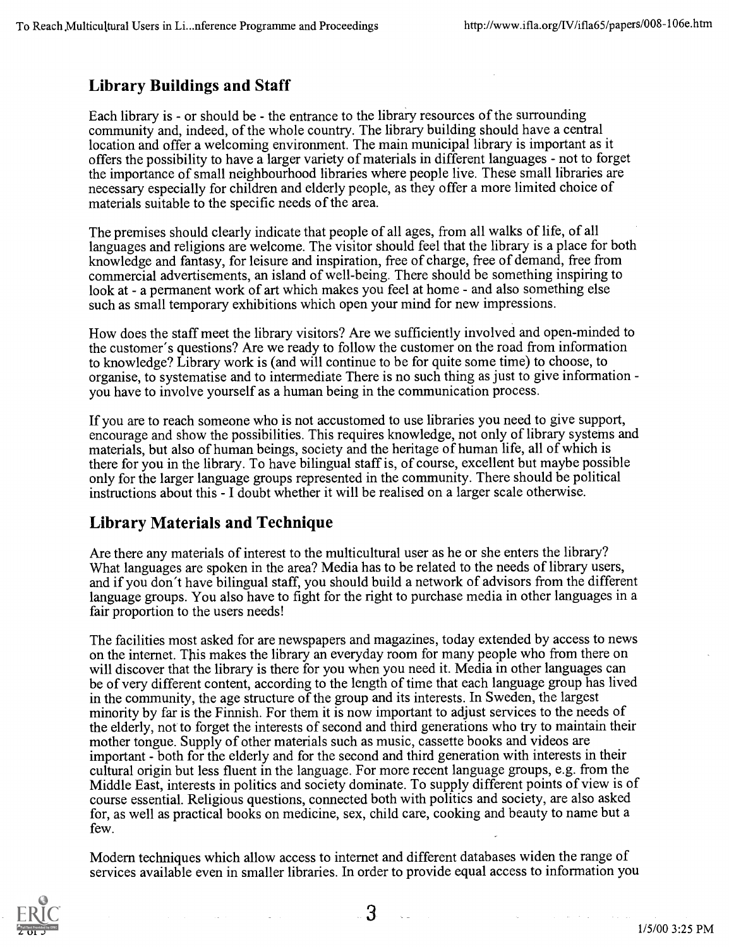### Library Buildings and Staff

Each library is - or should be - the entrance to the library resources of the surrounding community and, indeed, of the whole country. The library building should have a central location and offer a welcoming environment. The main municipal library is important as it offers the possibility to have a larger variety of materials in different languages - not to forget the importance of small neighbourhood libraries where people live. These small libraries are necessary especially for children and elderly people, as they offer a more limited choice of materials suitable to the specific needs of the area.

The premises should clearly indicate that people of all ages, from all walks of life, of all languages and religions are welcome. The visitor should feel that the library is a place for both knowledge and fantasy, for leisure and inspiration, free of charge, free of demand, free from commercial advertisements, an island of well-being. There should be something inspiring to look at - a permanent work of art which makes you feel at home - and also something else such as small temporary exhibitions which open your mind for new impressions.

How does the staff meet the library visitors? Are we sufficiently involved and open-minded to the customer's questions? Are we ready to follow the customer on the road from information to knowledge? Library work is (and will continue to be for quite some time) to choose, to organise, to systematise and to intermediate There is no such thing as just to give information you have to involve yourself as a human being in the communication process.

If you are to reach someone who is not accustomed to use libraries you need to give support, encourage and show the possibilities. This requires knowledge, not only of library systems and materials, but also of human beings, society and the heritage of human life, all of which is there for you in the library. To have bilingual staff is, of course, excellent but maybe possible only for the larger language groups represented in the community. There should be political instructions about this - I doubt whether it will be realised on a larger scale otherwise.

#### Library Materials and Technique

Are there any materials of interest to the multicultural user as he or she enters the library? What languages are spoken in the area? Media has to be related to the needs of library users, and if you don't have bilingual staff, you should build a network of advisors from the different language groups. You also have to fight for the right to purchase media in other languages in a fair proportion to the users needs!

The facilities most asked for are newspapers and magazines, today extended by access to news on the internet. This makes the library an everyday room for many people who from there on will discover that the library is there for you when you need it. Media in other languages can be of very different content, according to the length of time that each language group has lived in the community, the age structure of the group and its interests. In Sweden, the largest minority by far is the Finnish. For them it is now important to adjust services to the needs of the elderly, not to forget the interests of second and third generations who try to maintain their mother tongue. Supply of other materials such as music, cassette books and videos are important - both for the elderly and for the second and third generation with interests in their cultural origin but less fluent in the language. For more recent language groups, e.g. from the Middle East, interests in politics and society dominate. To supply different points of view is of course essential. Religious questions, connected both with politics and society, are also asked for, as well as practical books on medicine, sex, child care, cooking and beauty to name but a few.

Modern techniques which allow access to internet and different databases widen the range of services available even in smaller libraries. In order to provide equal access to information you



3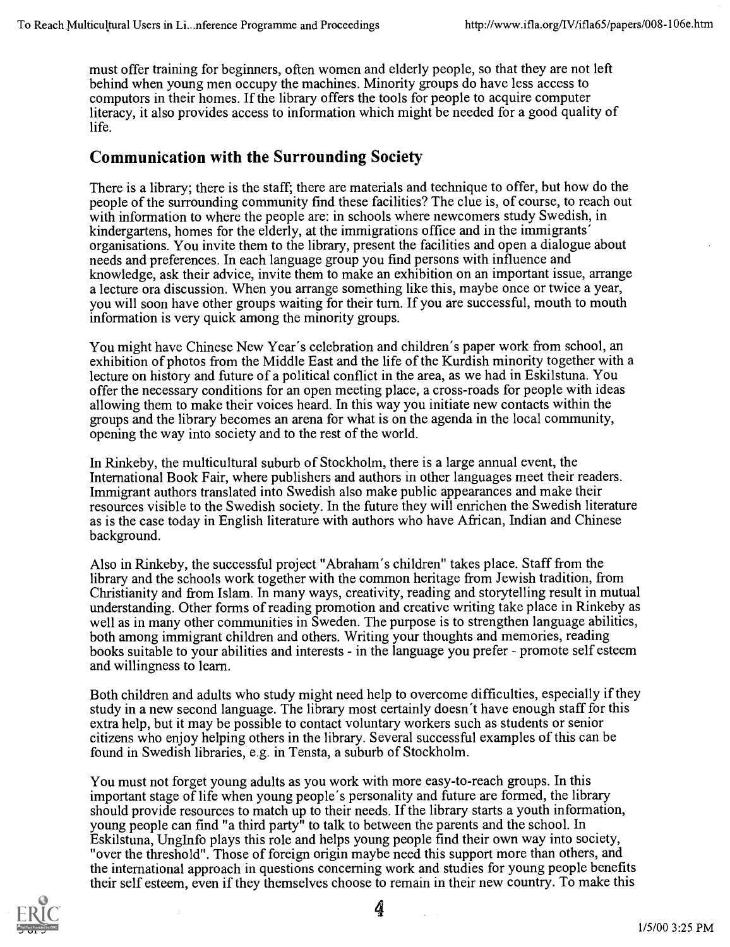must offer training for beginners, often women and elderly people, so that they are not left behind when young men occupy the machines. Minority groups do have less access to computors in their homes. If the library offers the tools for people to acquire computer literacy, it also provides access to information which might be needed for a good quality of life.

#### Communication with the Surrounding Society

There is a library; there is the staff; there are materials and technique to offer, but how do the people of the surrounding community find these facilities? The clue is, of course, to reach out with information to where the people are: in schools where newcomers study Swedish, in kindergartens, homes for the elderly, at the immigrations office and in the immigrants' organisations. You invite them to the library, present the facilities and open a dialogue about needs and preferences. In each language group you find persons with influence and knowledge, ask their advice, invite them to make an exhibition on an important issue, arrange a lecture ora discussion. When you arrange something like this, maybe once or twice a year, you will soon have other groups waiting for their turn. If you are successful, mouth to mouth information is very quick among the minority groups.

You might have Chinese New Year's celebration and children's paper work from school, an exhibition of photos from the Middle East and the life of the Kurdish minority together with a lecture on history and future of a political conflict in the area, as we had in Eskilstuna. You offer the necessary conditions for an open meeting place, a cross-roads for people with ideas allowing them to make their voices heard. In this way you initiate new contacts within the groups and the library becomes an arena for what is on the agenda in the local community, opening the way into society and to the rest of the world.

In Rinkeby, the multicultural suburb of Stockholm, there is a large annual event, the International Book Fair, where publishers and authors in other languages meet their readers. Immigrant authors translated into Swedish also make public appearances and make their resources visible to the Swedish society. In the future they will enrichen the Swedish literature as is the case today in English literature with authors who have African, Indian and Chinese background.

Also in Rinkeby, the successful project "Abraham's children" takes place. Staff from the library and the schools work together with the common heritage from Jewish tradition, from Christianity and from Islam. In many ways, creativity, reading and storytelling result in mutual understanding. Other forms of reading promotion and creative writing take place in Rinkeby as well as in many other communities in Sweden. The purpose is to strengthen language abilities, both among immigrant children and others. Writing your thoughts and memories, reading books suitable to your abilities and interests - in the language you prefer - promote self esteem and willingness to learn.

Both children and adults who study might need help to overcome difficulties, especially if they study in a new second language. The library most certainly doesn't have enough staff for this extra help, but it may be possible to contact voluntary workers such as students or senior citizens who enjoy helping others in the library. Several successful examples of this can be found in Swedish libraries, e.g. in Tensta, a suburb of Stockholm.

You must not forget young adults as you work with more easy-to-reach groups. In this important stage of life when young people's personality and future are formed, the library should provide resources to match up to their needs. If the library starts a youth information, young people can find "a third party" to talk to between the parents and the school. In Eskilstuna, Unglnfo plays this role and helps young people find their own way into society, "over the threshold". Those of foreign origin maybe need this support more than others, and the international approach in questions concerning work and studies for young people benefits their self esteem, even if they themselves choose to remain in their new country. To make this



4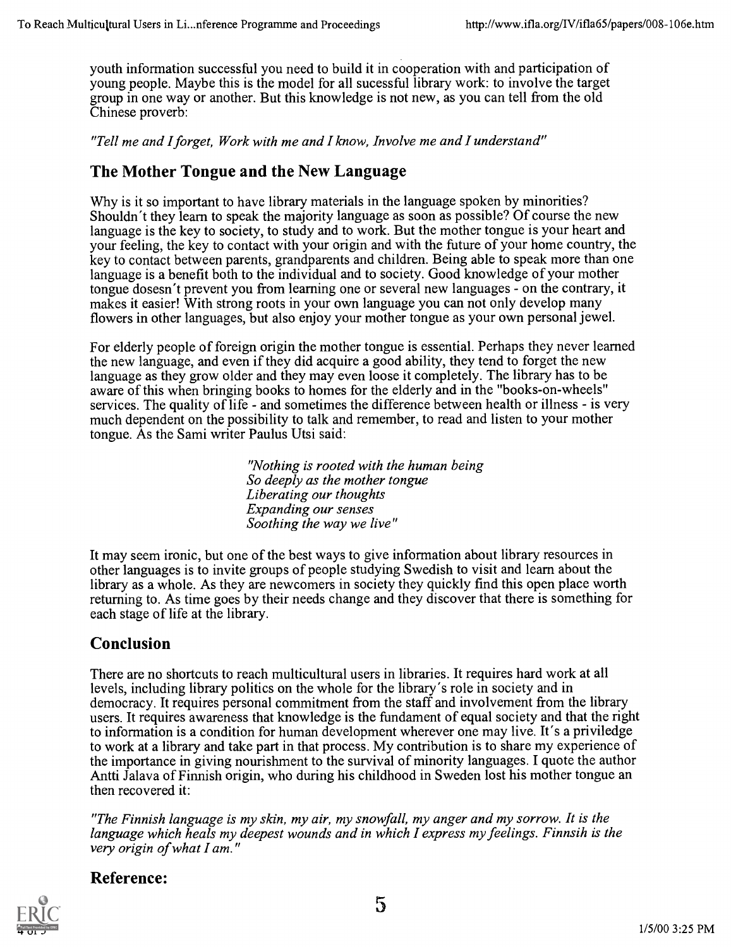youth information successful you need to build it in cooperation with and participation of young people. Maybe this is the model for all sucessful library work: to involve the target group in one way or another. But this knowledge is not new, as you can tell from the old Chinese proverb:

"Tell me and I forget, Work with me and I know, Involve me and I understand"

#### The Mother Tongue and the New Language

Why is it so important to have library materials in the language spoken by minorities? Shouldn't they learn to speak the majority language as soon as possible? Of course the new language is the key to society, to study and to work. But the mother tongue is your heart and your feeling, the key to contact with your origin and with the future of your home country, the key to contact between parents, grandparents and children. Being able to speak more than one language is a benefit both to the individual and to society. Good knowledge of your mother tongue dosesn't prevent you from learning one or several new languages - on the contrary, it makes it easier! With strong roots in your own language you can not only develop many flowers in other languages, but also enjoy your mother tongue as your own personal jewel.

For elderly people of foreign origin the mother tongue is essential. Perhaps they never learned the new language, and even if they did acquire a good ability, they tend to forget the new language as they grow older and they may even loose it completely. The library has to be aware of this when bringing books to homes for the elderly and in the "books-on-wheels" services. The quality of life - and sometimes the difference between health or illness - is very much dependent on the possibility to talk and remember, to read and listen to your mother tongue. As the Sami writer Paulus Utsi said:

> "Nothing is rooted with the human being So deeply as the mother tongue Liberating our thoughts Expanding our senses Soothing the way we live"

It may seem ironic, but one of the best ways to give information about library resources in other languages is to invite groups of people studying Swedish to visit and learn about the library as a whole. As they are newcomers in society they quickly find this open place worth returning to. As time goes by their needs change and they discover that there is something for each stage of life at the library.

### Conclusion

There are no shortcuts to reach multicultural users in libraries. It requires hard work at all levels, including library politics on the whole for the library's role in society and in democracy. It requires personal commitment from the staff and involvement from the library users. It requires awareness that knowledge is the fundament of equal society and that the right to information is a condition for human development wherever one may live. It's a priviledge to work at a library and take part in that process. My contribution is to share my experience of the importance in giving nourishment to the survival of minority languages. I quote the author Antti Jalava of Finnish origin, who during his childhood in Sweden lost his mother tongue an then recovered it:

"The Finnish language is my skin, my air, my snowfall, my anger and my sorrow. It is the language which heals my deepest wounds and in which I express my feelings. Finnsih is the very origin of what I am."

#### Reference:



5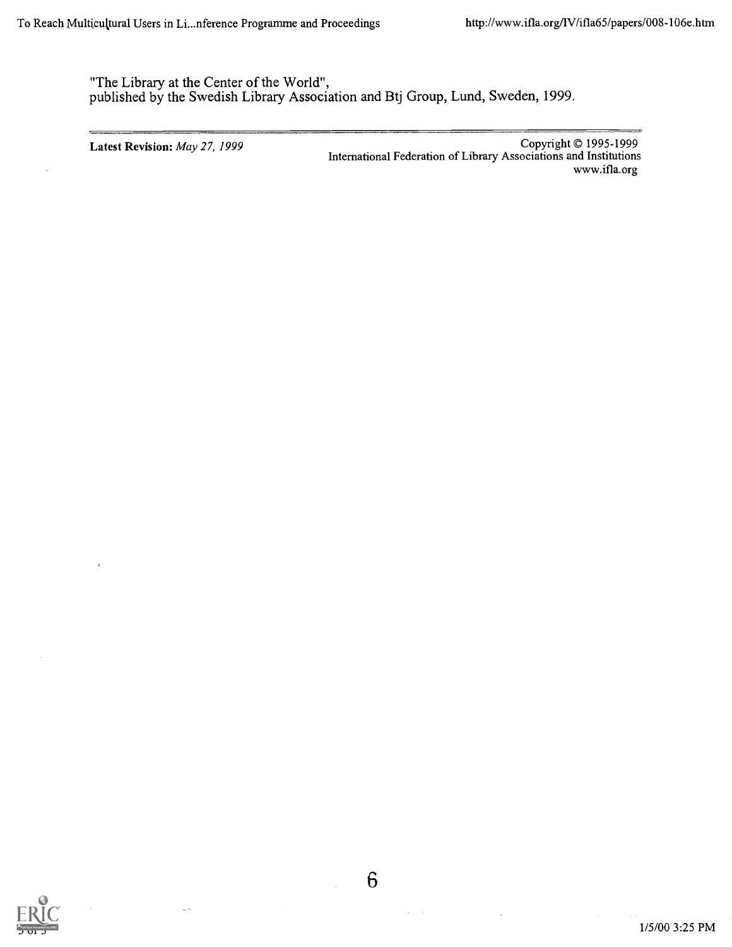"The Library at the Center of the World", published by the Swedish Library Association and Btj Group, Lund, Sweden, 1999.

Latest Revision: *May 27, 1999* Copyright © 1995-1999 International Federation of Library Associations and Institutions www.ifla.org